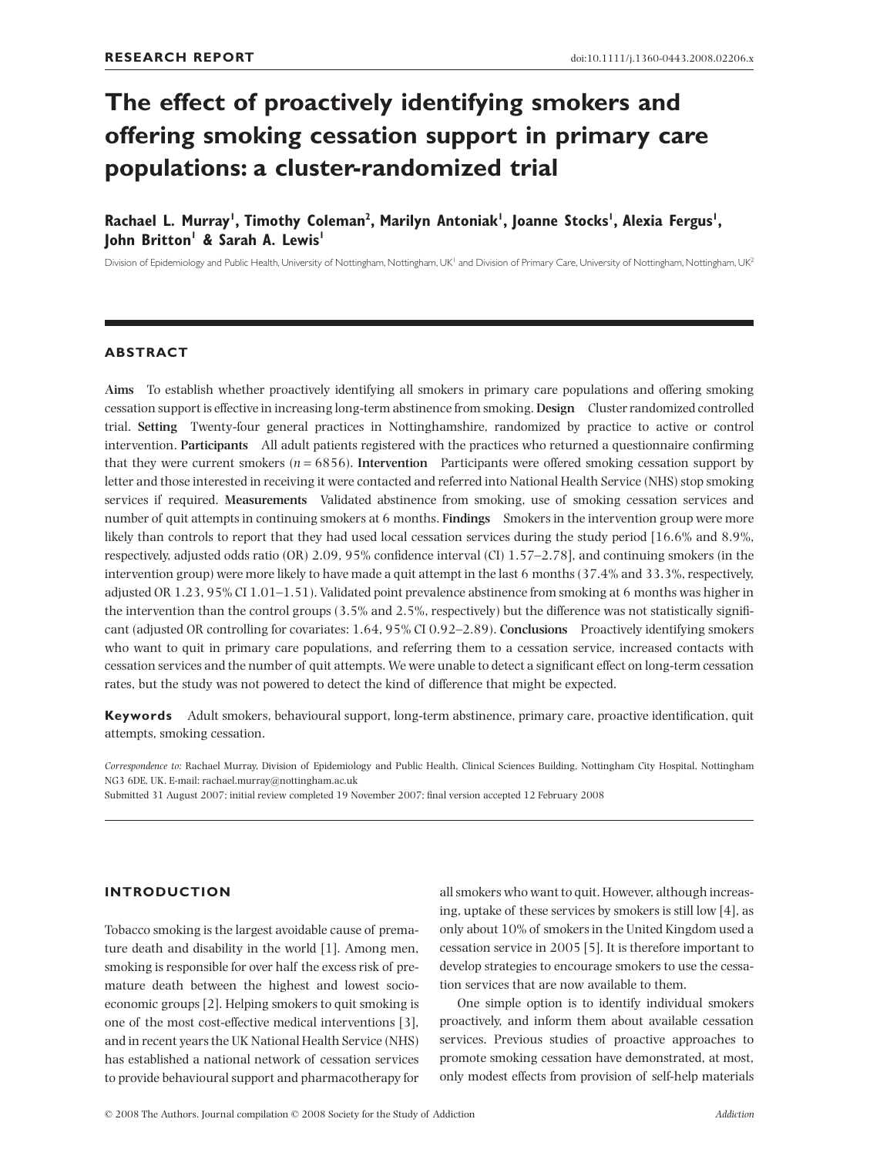# **The effect of proactively identifying smokers and offering smoking cessation support in primary care populations: a cluster-randomized trial**

## Rachael L. Murray', Timothy Coleman<sup>2</sup>, Marilyn Antoniak', Joanne Stocks', Alexia Fergus', **John Britton<sup>1</sup> & Sarah A. Lewis<sup>1</sup>**

Division of Epidemiology and Public Health, University of Nottingham, Nottingham, UK<sup>1</sup> and Division of Primary Care, University of Nottingham, Nottingham, UK<sup>2</sup>

#### **ABSTRACT**

**Aims** To establish whether proactively identifying all smokers in primary care populations and offering smoking cessation support is effective in increasing long-term abstinence from smoking. **Design** Cluster randomized controlled trial. **Setting** Twenty-four general practices in Nottinghamshire, randomized by practice to active or control intervention. **Participants** All adult patients registered with the practices who returned a questionnaire confirming that they were current smokers (*n* = 6856). **Intervention** Participants were offered smoking cessation support by letter and those interested in receiving it were contacted and referred into National Health Service (NHS) stop smoking services if required. **Measurements** Validated abstinence from smoking, use of smoking cessation services and number of quit attempts in continuing smokers at 6 months. **Findings** Smokers in the intervention group were more likely than controls to report that they had used local cessation services during the study period [16.6% and 8.9%, respectively, adjusted odds ratio (OR) 2.09, 95% confidence interval (CI) 1.57–2.78], and continuing smokers (in the intervention group) were more likely to have made a quit attempt in the last 6 months (37.4% and 33.3%, respectively, adjusted OR 1.23, 95% CI 1.01–1.51). Validated point prevalence abstinence from smoking at 6 months was higher in the intervention than the control groups (3.5% and 2.5%, respectively) but the difference was not statistically significant (adjusted OR controlling for covariates: 1.64, 95% CI 0.92–2.89). **Conclusions** Proactively identifying smokers who want to quit in primary care populations, and referring them to a cessation service, increased contacts with cessation services and the number of quit attempts. We were unable to detect a significant effect on long-term cessation rates, but the study was not powered to detect the kind of difference that might be expected.

**Keywords** Adult smokers, behavioural support, long-term abstinence, primary care, proactive identification, quit attempts, smoking cessation.

*Correspondence to:* Rachael Murray, Division of Epidemiology and Public Health, Clinical Sciences Building, Nottingham City Hospital, Nottingham NG3 6DE, UK. E-mail: rachael.[murray@nottingham.ac.uk](mailto:murray@nottingham.ac.uk)

Submitted 31 August 2007; initial review completed 19 November 2007; final version accepted 12 February 2008

## **INTRODUCTION**

Tobacco smoking is the largest avoidable cause of premature death and disability in the world [1]. Among men, smoking is responsible for over half the excess risk of premature death between the highest and lowest socioeconomic groups [2]. Helping smokers to quit smoking is one of the most cost-effective medical interventions [3], and in recent years the UK National Health Service (NHS) has established a national network of cessation services to provide behavioural support and pharmacotherapy for all smokers who want to quit. However, although increasing, uptake of these services by smokers is still low [4], as only about 10% of smokers in the United Kingdom used a cessation service in 2005 [5]. It is therefore important to develop strategies to encourage smokers to use the cessation services that are now available to them.

One simple option is to identify individual smokers proactively, and inform them about available cessation services. Previous studies of proactive approaches to promote smoking cessation have demonstrated, at most, only modest effects from provision of self-help materials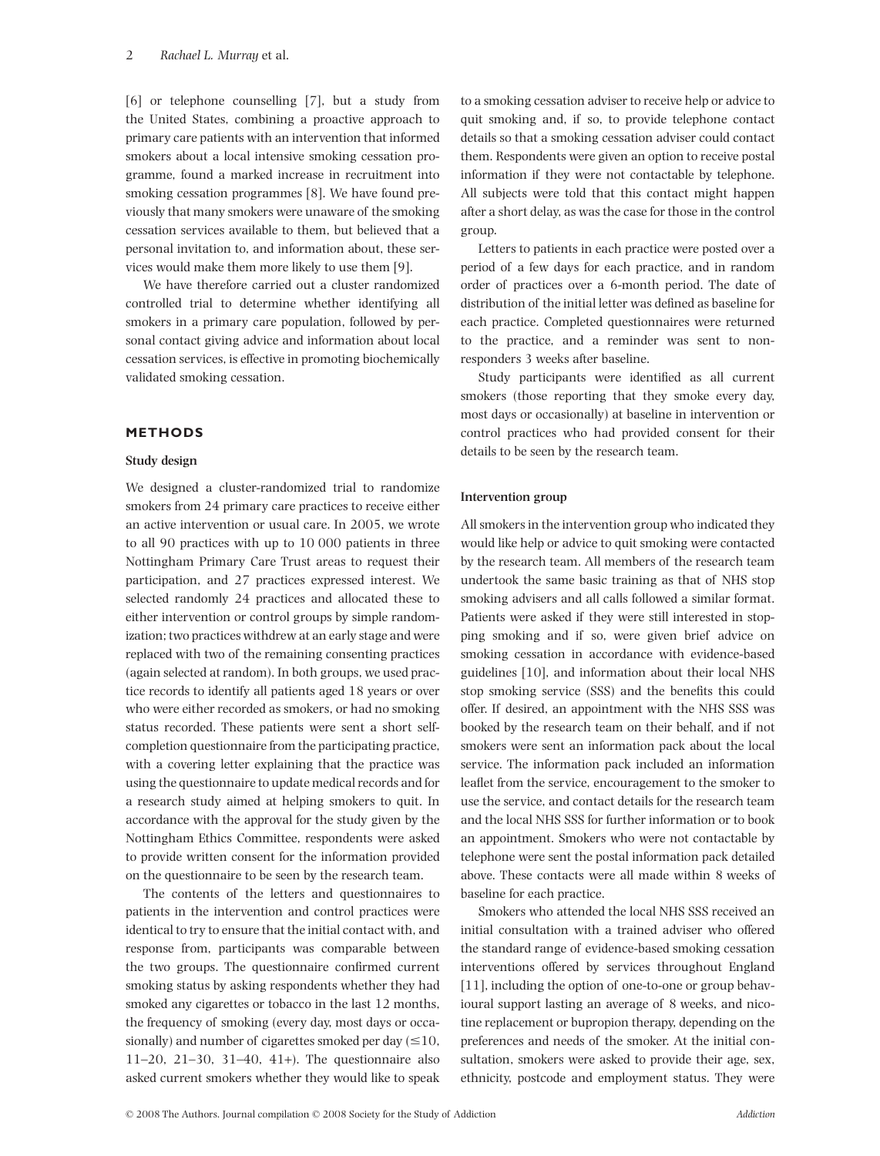[6] or telephone counselling [7], but a study from the United States, combining a proactive approach to primary care patients with an intervention that informed smokers about a local intensive smoking cessation programme, found a marked increase in recruitment into smoking cessation programmes [8]. We have found previously that many smokers were unaware of the smoking cessation services available to them, but believed that a personal invitation to, and information about, these services would make them more likely to use them [9].

We have therefore carried out a cluster randomized controlled trial to determine whether identifying all smokers in a primary care population, followed by personal contact giving advice and information about local cessation services, is effective in promoting biochemically validated smoking cessation.

## **METHODS**

#### **Study design**

We designed a cluster-randomized trial to randomize smokers from 24 primary care practices to receive either an active intervention or usual care. In 2005, we wrote to all 90 practices with up to 10 000 patients in three Nottingham Primary Care Trust areas to request their participation, and 27 practices expressed interest. We selected randomly 24 practices and allocated these to either intervention or control groups by simple randomization; two practices withdrew at an early stage and were replaced with two of the remaining consenting practices (again selected at random). In both groups, we used practice records to identify all patients aged 18 years or over who were either recorded as smokers, or had no smoking status recorded. These patients were sent a short selfcompletion questionnaire from the participating practice, with a covering letter explaining that the practice was using the questionnaire to update medical records and for a research study aimed at helping smokers to quit. In accordance with the approval for the study given by the Nottingham Ethics Committee, respondents were asked to provide written consent for the information provided on the questionnaire to be seen by the research team.

The contents of the letters and questionnaires to patients in the intervention and control practices were identical to try to ensure that the initial contact with, and response from, participants was comparable between the two groups. The questionnaire confirmed current smoking status by asking respondents whether they had smoked any cigarettes or tobacco in the last 12 months, the frequency of smoking (every day, most days or occasionally) and number of cigarettes smoked per day ( $\leq 10$ , 11–20, 21–30, 31–40, 41+). The questionnaire also asked current smokers whether they would like to speak to a smoking cessation adviser to receive help or advice to quit smoking and, if so, to provide telephone contact details so that a smoking cessation adviser could contact them. Respondents were given an option to receive postal information if they were not contactable by telephone. All subjects were told that this contact might happen after a short delay, as was the case for those in the control group.

Letters to patients in each practice were posted over a period of a few days for each practice, and in random order of practices over a 6-month period. The date of distribution of the initial letter was defined as baseline for each practice. Completed questionnaires were returned to the practice, and a reminder was sent to nonresponders 3 weeks after baseline.

Study participants were identified as all current smokers (those reporting that they smoke every day, most days or occasionally) at baseline in intervention or control practices who had provided consent for their details to be seen by the research team.

#### **Intervention group**

All smokers in the intervention group who indicated they would like help or advice to quit smoking were contacted by the research team. All members of the research team undertook the same basic training as that of NHS stop smoking advisers and all calls followed a similar format. Patients were asked if they were still interested in stopping smoking and if so, were given brief advice on smoking cessation in accordance with evidence-based guidelines [10], and information about their local NHS stop smoking service (SSS) and the benefits this could offer. If desired, an appointment with the NHS SSS was booked by the research team on their behalf, and if not smokers were sent an information pack about the local service. The information pack included an information leaflet from the service, encouragement to the smoker to use the service, and contact details for the research team and the local NHS SSS for further information or to book an appointment. Smokers who were not contactable by telephone were sent the postal information pack detailed above. These contacts were all made within 8 weeks of baseline for each practice.

Smokers who attended the local NHS SSS received an initial consultation with a trained adviser who offered the standard range of evidence-based smoking cessation interventions offered by services throughout England [11], including the option of one-to-one or group behavioural support lasting an average of 8 weeks, and nicotine replacement or bupropion therapy, depending on the preferences and needs of the smoker. At the initial consultation, smokers were asked to provide their age, sex, ethnicity, postcode and employment status. They were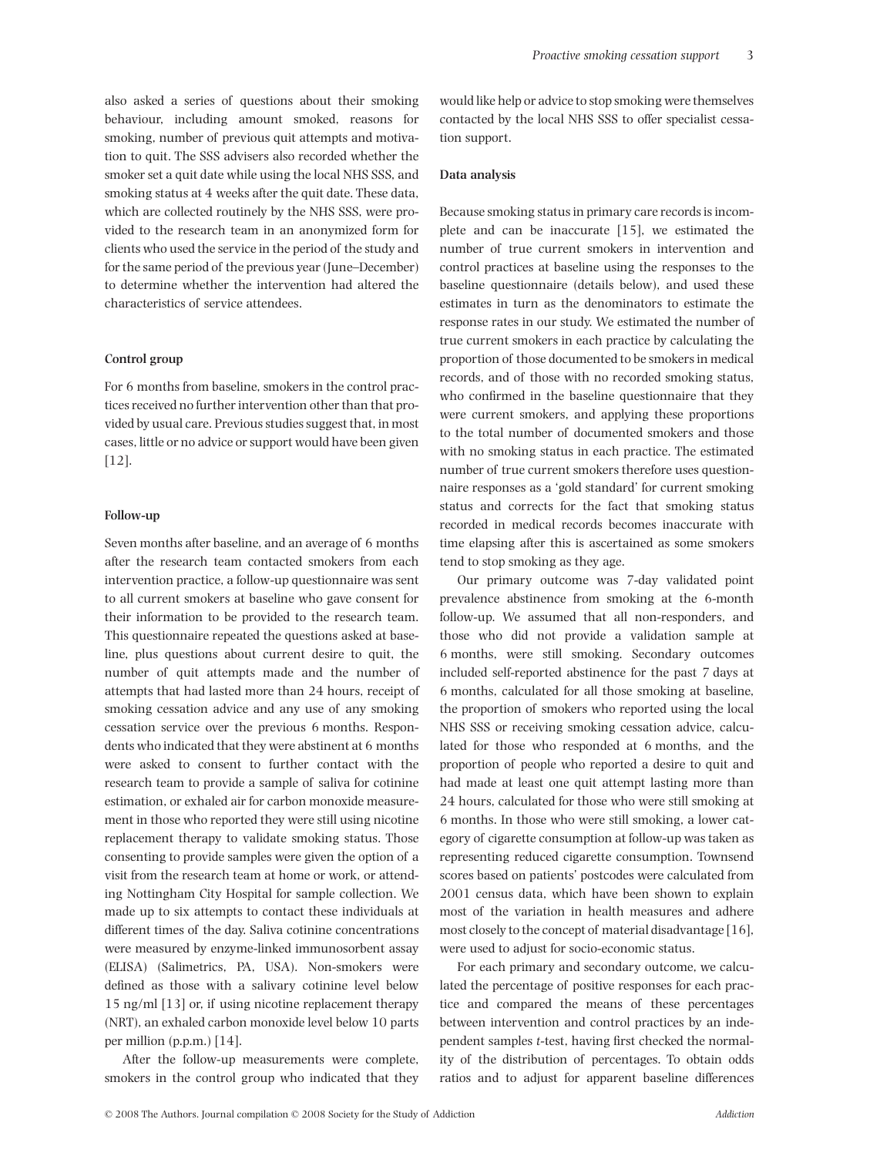also asked a series of questions about their smoking behaviour, including amount smoked, reasons for smoking, number of previous quit attempts and motivation to quit. The SSS advisers also recorded whether the smoker set a quit date while using the local NHS SSS, and smoking status at 4 weeks after the quit date. These data, which are collected routinely by the NHS SSS, were provided to the research team in an anonymized form for clients who used the service in the period of the study and for the same period of the previous year (June–December) to determine whether the intervention had altered the characteristics of service attendees.

#### **Control group**

For 6 months from baseline, smokers in the control practices received no further intervention other than that provided by usual care. Previous studies suggest that, in most cases, little or no advice or support would have been given [12].

#### **Follow-up**

Seven months after baseline, and an average of 6 months after the research team contacted smokers from each intervention practice, a follow-up questionnaire was sent to all current smokers at baseline who gave consent for their information to be provided to the research team. This questionnaire repeated the questions asked at baseline, plus questions about current desire to quit, the number of quit attempts made and the number of attempts that had lasted more than 24 hours, receipt of smoking cessation advice and any use of any smoking cessation service over the previous 6 months. Respondents who indicated that they were abstinent at 6 months were asked to consent to further contact with the research team to provide a sample of saliva for cotinine estimation, or exhaled air for carbon monoxide measurement in those who reported they were still using nicotine replacement therapy to validate smoking status. Those consenting to provide samples were given the option of a visit from the research team at home or work, or attending Nottingham City Hospital for sample collection. We made up to six attempts to contact these individuals at different times of the day. Saliva cotinine concentrations were measured by enzyme-linked immunosorbent assay (ELISA) (Salimetrics, PA, USA). Non-smokers were defined as those with a salivary cotinine level below 15 ng/ml [13] or, if using nicotine replacement therapy (NRT), an exhaled carbon monoxide level below 10 parts per million (p.p.m.) [14].

After the follow-up measurements were complete, smokers in the control group who indicated that they would like help or advice to stop smoking were themselves contacted by the local NHS SSS to offer specialist cessation support.

#### **Data analysis**

Because smoking status in primary care records is incomplete and can be inaccurate [15], we estimated the number of true current smokers in intervention and control practices at baseline using the responses to the baseline questionnaire (details below), and used these estimates in turn as the denominators to estimate the response rates in our study. We estimated the number of true current smokers in each practice by calculating the proportion of those documented to be smokers in medical records, and of those with no recorded smoking status, who confirmed in the baseline questionnaire that they were current smokers, and applying these proportions to the total number of documented smokers and those with no smoking status in each practice. The estimated number of true current smokers therefore uses questionnaire responses as a 'gold standard' for current smoking status and corrects for the fact that smoking status recorded in medical records becomes inaccurate with time elapsing after this is ascertained as some smokers tend to stop smoking as they age.

Our primary outcome was 7-day validated point prevalence abstinence from smoking at the 6-month follow-up. We assumed that all non-responders, and those who did not provide a validation sample at 6 months, were still smoking. Secondary outcomes included self-reported abstinence for the past 7 days at 6 months, calculated for all those smoking at baseline, the proportion of smokers who reported using the local NHS SSS or receiving smoking cessation advice, calculated for those who responded at 6 months, and the proportion of people who reported a desire to quit and had made at least one quit attempt lasting more than 24 hours, calculated for those who were still smoking at 6 months. In those who were still smoking, a lower category of cigarette consumption at follow-up was taken as representing reduced cigarette consumption. Townsend scores based on patients' postcodes were calculated from 2001 census data, which have been shown to explain most of the variation in health measures and adhere most closely to the concept of material disadvantage [16], were used to adjust for socio-economic status.

For each primary and secondary outcome, we calculated the percentage of positive responses for each practice and compared the means of these percentages between intervention and control practices by an independent samples *t*-test, having first checked the normality of the distribution of percentages. To obtain odds ratios and to adjust for apparent baseline differences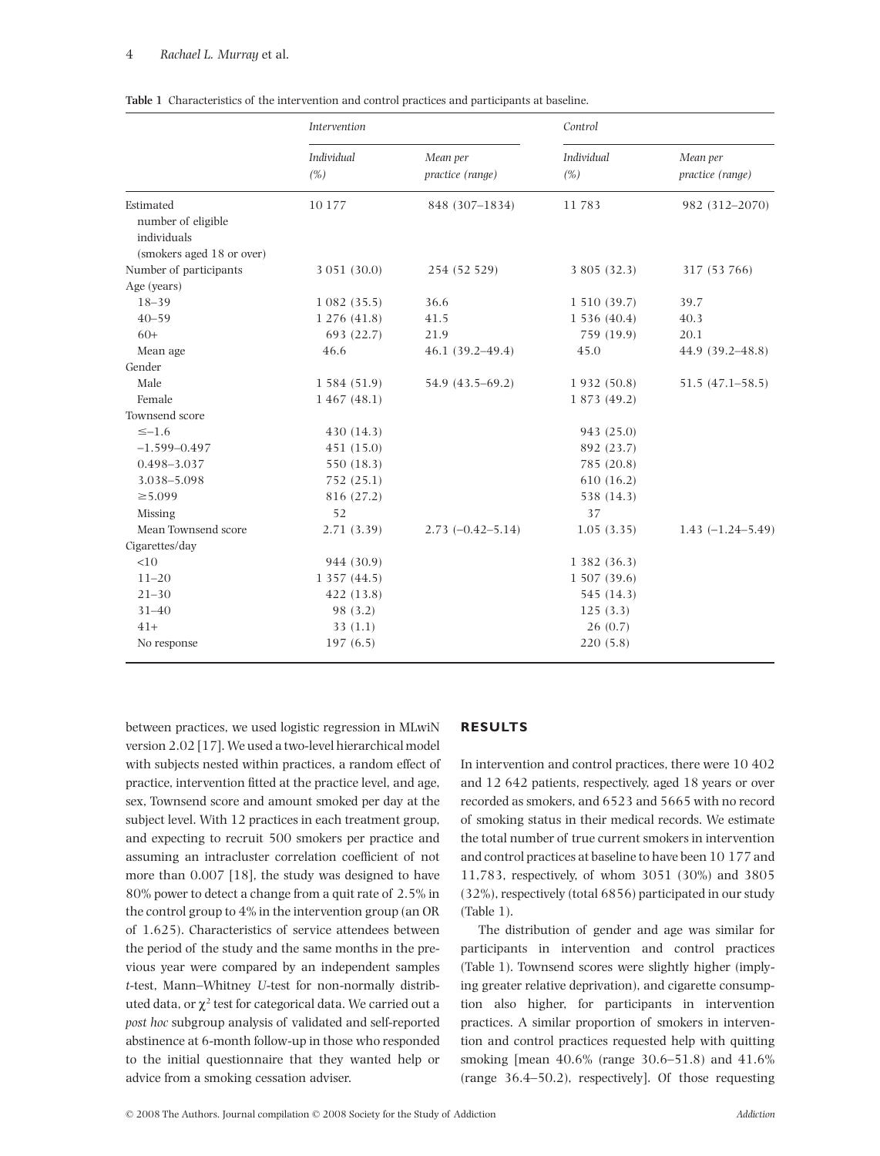#### 4 *Rachael L. Murray* et al.

|                                                                             | Intervention              |                              | Control                  |                              |  |
|-----------------------------------------------------------------------------|---------------------------|------------------------------|--------------------------|------------------------------|--|
|                                                                             | <b>Individual</b><br>(% ) | Mean per<br>practice (range) | <b>Individual</b><br>(%) | Mean per<br>practice (range) |  |
| Estimated<br>number of eligible<br>individuals<br>(smokers aged 18 or over) | 10 177                    | 848 (307-1834)               | 11783                    | 982 (312-2070)               |  |
| Number of participants                                                      | 3 051 (30.0)              | 254 (52 529)                 | 3 805 (32.3)             | 317 (53 766)                 |  |
| Age (years)                                                                 |                           |                              |                          |                              |  |
| $18 - 39$                                                                   | 1082(35.5)                | 36.6                         | 1 510 (39.7)             | 39.7                         |  |
| $40 - 59$                                                                   | 1 276 (41.8)              | 41.5                         | 1536(40.4)               | 40.3                         |  |
| $60+$                                                                       | 693 (22.7)                | 21.9                         | 759 (19.9)               | 20.1                         |  |
| Mean age                                                                    | 46.6                      | $46.1(39.2 - 49.4)$          | 45.0                     | 44.9 (39.2–48.8)             |  |
| Gender                                                                      |                           |                              |                          |                              |  |
| Male                                                                        | 1 584 (51.9)              | 54.9 (43.5–69.2)             | 1932 (50.8)              | $51.5(47.1 - 58.5)$          |  |
| Female                                                                      | 1467(48.1)                |                              | 1 873 (49.2)             |                              |  |
| Townsend score                                                              |                           |                              |                          |                              |  |
| $\leq -1.6$                                                                 | 430 (14.3)                |                              | 943 (25.0)               |                              |  |
| $-1.599 - 0.497$                                                            | 451 (15.0)                |                              | 892 (23.7)               |                              |  |
| 0.498-3.037                                                                 | 550 (18.3)                |                              | 785 (20.8)               |                              |  |
| 3.038-5.098                                                                 | 752 (25.1)                |                              | 610(16.2)                |                              |  |
| $\geq 5.099$                                                                | 816 (27.2)                |                              | 538 (14.3)               |                              |  |
| Missing                                                                     | 52                        |                              | 37                       |                              |  |
| Mean Townsend score                                                         | 2.71(3.39)                | $2.73 (-0.42 - 5.14)$        | 1.05(3.35)               | $1.43(-1.24-5.49)$           |  |
| Cigarettes/day                                                              |                           |                              |                          |                              |  |
| <10                                                                         | 944 (30.9)                |                              | 1 382 (36.3)             |                              |  |
| $11 - 20$                                                                   | 1 357 (44.5)              |                              | 1 507 (39.6)             |                              |  |
| $21 - 30$                                                                   | 422 (13.8)                |                              | 545 (14.3)               |                              |  |
| $31 - 40$                                                                   | 98 (3.2)                  |                              | 125(3.3)                 |                              |  |
| $41+$                                                                       | 33(1.1)                   |                              | 26(0.7)                  |                              |  |
| No response                                                                 | 197(6.5)                  |                              | 220(5.8)                 |                              |  |

**Table 1** Characteristics of the intervention and control practices and participants at baseline.

between practices, we used logistic regression in MLwiN version 2.02 [17]. We used a two-level hierarchical model with subjects nested within practices, a random effect of practice, intervention fitted at the practice level, and age, sex, Townsend score and amount smoked per day at the subject level. With 12 practices in each treatment group, and expecting to recruit 500 smokers per practice and assuming an intracluster correlation coefficient of not more than 0.007 [18], the study was designed to have 80% power to detect a change from a quit rate of 2.5% in the control group to 4% in the intervention group (an OR of 1.625). Characteristics of service attendees between the period of the study and the same months in the previous year were compared by an independent samples *t*-test, Mann–Whitney *U*-test for non-normally distributed data, or  $\chi^2$  test for categorical data. We carried out a *post hoc* subgroup analysis of validated and self-reported abstinence at 6-month follow-up in those who responded to the initial questionnaire that they wanted help or advice from a smoking cessation adviser.

#### **RESULTS**

In intervention and control practices, there were 10 402 and 12 642 patients, respectively, aged 18 years or over recorded as smokers, and 6523 and 5665 with no record of smoking status in their medical records. We estimate the total number of true current smokers in intervention and control practices at baseline to have been 10 177 and 11,783, respectively, of whom 3051 (30%) and 3805 (32%), respectively (total 6856) participated in our study (Table 1).

The distribution of gender and age was similar for participants in intervention and control practices (Table 1). Townsend scores were slightly higher (implying greater relative deprivation), and cigarette consumption also higher, for participants in intervention practices. A similar proportion of smokers in intervention and control practices requested help with quitting smoking [mean 40.6% (range 30.6–51.8) and 41.6% (range 36.4–50.2), respectively]. Of those requesting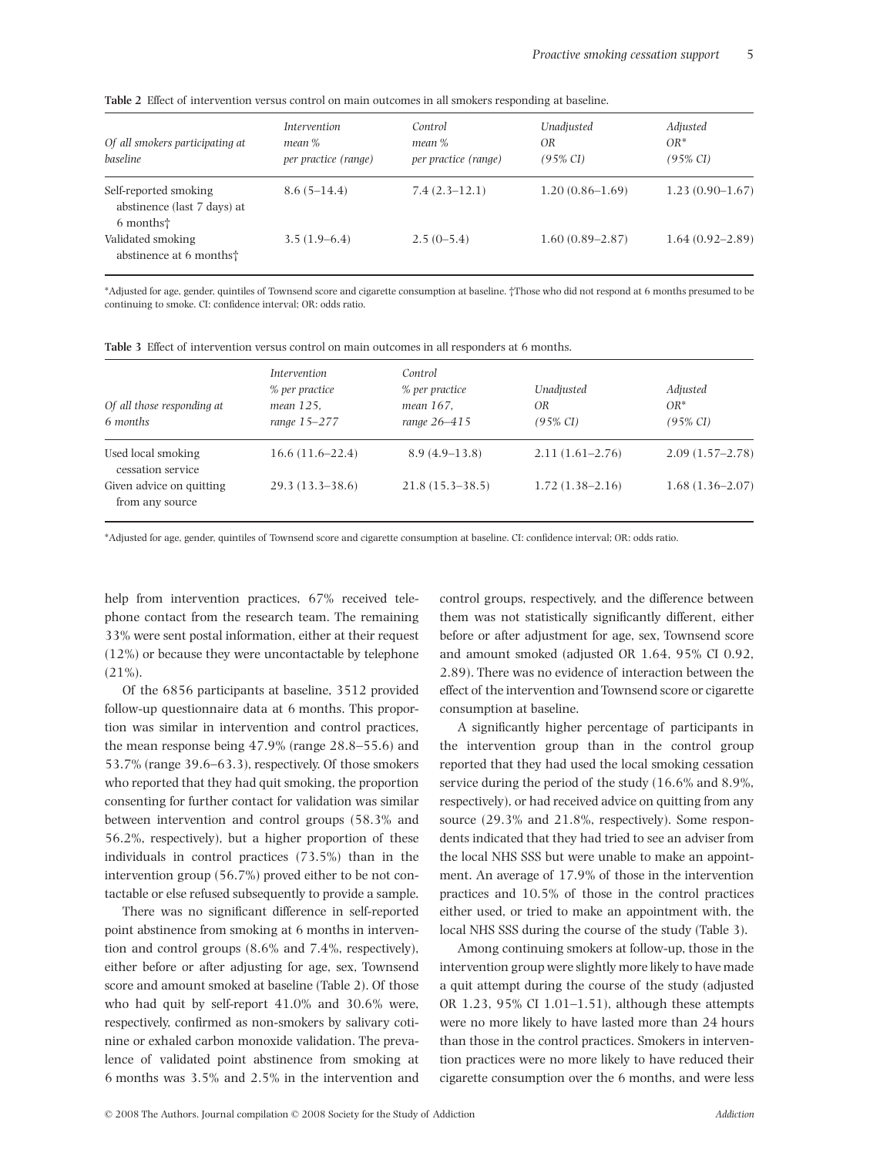|  |  | Table 2 Effect of intervention versus control on main outcomes in all smokers responding at baseline. |  |  |  |  |  |  |  |  |  |  |  |  |
|--|--|-------------------------------------------------------------------------------------------------------|--|--|--|--|--|--|--|--|--|--|--|--|
|--|--|-------------------------------------------------------------------------------------------------------|--|--|--|--|--|--|--|--|--|--|--|--|

| Of all smokers participating at<br>baseline                                   | <i>Intervention</i><br>mean %<br>per practice (range) | Control<br>mean %<br>per practice (range) | Unadjusted<br>0R<br>$(95\% \text{ CI})$ | Adjusted<br>$OR^*$<br>$(95\% \text{ CI})$ |
|-------------------------------------------------------------------------------|-------------------------------------------------------|-------------------------------------------|-----------------------------------------|-------------------------------------------|
| Self-reported smoking<br>abstinence (last 7 days) at<br>6 months <sup>+</sup> | $8.6(5-14.4)$                                         | $7.4(2.3-12.1)$                           | $1.20(0.86-1.69)$                       | $1.23(0.90-1.67)$                         |
| Validated smoking<br>abstinence at 6 months <sup>+</sup>                      | $3.5(1.9-6.4)$                                        | $2.5(0-5.4)$                              | $1.60(0.89 - 2.87)$                     | $1.64(0.92 - 2.89)$                       |

\*Adjusted for age, gender, quintiles of Townsend score and cigarette consumption at baseline. †Those who did not respond at 6 months presumed to be continuing to smoke. CI: confidence interval; OR: odds ratio.

| Of all those responding at<br>6 months      | <i>Intervention</i><br>% per practice<br>mean 125.<br>range 15–277 | Control<br>% per practice<br>mean 167.<br>range 26-415 | Unadjusted<br>0R<br>(95% CI) | Adjusted<br>$OR^*$<br>$(95\% \text{ CI})$ |
|---------------------------------------------|--------------------------------------------------------------------|--------------------------------------------------------|------------------------------|-------------------------------------------|
| Used local smoking<br>cessation service     | $16.6(11.6-22.4)$                                                  | $8.9(4.9-13.8)$                                        | $2.11(1.61 - 2.76)$          | $2.09(1.57-2.78)$                         |
| Given advice on quitting<br>from any source | $29.3(13.3-38.6)$                                                  | $21.8(15.3-38.5)$                                      | $1.72(1.38-2.16)$            | $1.68(1.36-2.07)$                         |

**Table 3** Effect of intervention versus control on main outcomes in all responders at 6 months.

\*Adjusted for age, gender, quintiles of Townsend score and cigarette consumption at baseline. CI: confidence interval; OR: odds ratio.

help from intervention practices, 67% received telephone contact from the research team. The remaining 33% were sent postal information, either at their request (12%) or because they were uncontactable by telephone  $(21\%).$ 

Of the 6856 participants at baseline, 3512 provided follow-up questionnaire data at 6 months. This proportion was similar in intervention and control practices, the mean response being 47.9% (range 28.8–55.6) and 53.7% (range 39.6–63.3), respectively. Of those smokers who reported that they had quit smoking, the proportion consenting for further contact for validation was similar between intervention and control groups (58.3% and 56.2%, respectively), but a higher proportion of these individuals in control practices (73.5%) than in the intervention group (56.7%) proved either to be not contactable or else refused subsequently to provide a sample.

There was no significant difference in self-reported point abstinence from smoking at 6 months in intervention and control groups (8.6% and 7.4%, respectively), either before or after adjusting for age, sex, Townsend score and amount smoked at baseline (Table 2). Of those who had quit by self-report 41.0% and 30.6% were, respectively, confirmed as non-smokers by salivary cotinine or exhaled carbon monoxide validation. The prevalence of validated point abstinence from smoking at 6 months was 3.5% and 2.5% in the intervention and control groups, respectively, and the difference between them was not statistically significantly different, either before or after adjustment for age, sex, Townsend score and amount smoked (adjusted OR 1.64, 95% CI 0.92, 2.89). There was no evidence of interaction between the effect of the intervention and Townsend score or cigarette consumption at baseline.

A significantly higher percentage of participants in the intervention group than in the control group reported that they had used the local smoking cessation service during the period of the study (16.6% and 8.9%, respectively), or had received advice on quitting from any source (29.3% and 21.8%, respectively). Some respondents indicated that they had tried to see an adviser from the local NHS SSS but were unable to make an appointment. An average of 17.9% of those in the intervention practices and 10.5% of those in the control practices either used, or tried to make an appointment with, the local NHS SSS during the course of the study (Table 3).

Among continuing smokers at follow-up, those in the intervention group were slightly more likely to have made a quit attempt during the course of the study (adjusted OR 1.23, 95% CI 1.01–1.51), although these attempts were no more likely to have lasted more than 24 hours than those in the control practices. Smokers in intervention practices were no more likely to have reduced their cigarette consumption over the 6 months, and were less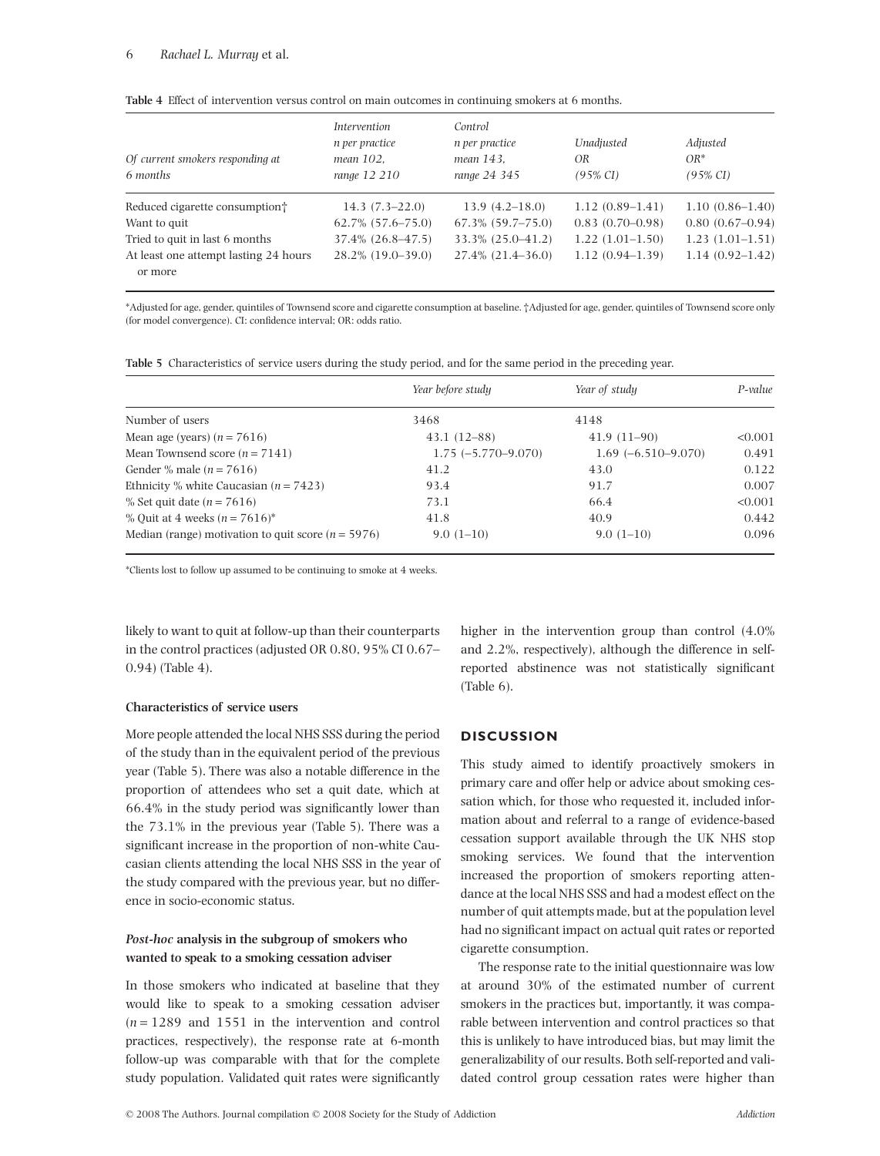| Of current smokers responding at<br>6 months     | <i>Intervention</i><br>n per practice<br>mean 102.<br>range 12 210 | Control<br>n per practice<br>mean 143.<br>range 24 345 | Unadjusted<br>OR<br>$(95\% \text{ CI})$ | Adjusted<br>$OR^*$<br>$(95\% \text{ CI})$ |
|--------------------------------------------------|--------------------------------------------------------------------|--------------------------------------------------------|-----------------------------------------|-------------------------------------------|
| Reduced cigarette consumption                    | $14.3(7.3-22.0)$                                                   | $13.9(4.2-18.0)$                                       | $1.12(0.89-1.41)$                       | $1.10(0.86 - 1.40)$                       |
| Want to quit                                     | $62.7\%$ $(57.6 - 75.0)$                                           | $67.3\%$ $(59.7-75.0)$                                 | $0.83(0.70-0.98)$                       | $0.80(0.67-0.94)$                         |
| Tried to quit in last 6 months                   | $37.4\%$ $(26.8 - 47.5)$                                           | 33.3% (25.0–41.2)                                      | $1.22(1.01-1.50)$                       | $1.23(1.01-1.51)$                         |
| At least one attempt lasting 24 hours<br>or more | 28.2% (19.0–39.0)                                                  | $27.4\%$ $(21.4-36.0)$                                 | $1.12(0.94-1.39)$                       | $1.14(0.92 - 1.42)$                       |

\*Adjusted for age, gender, quintiles of Townsend score and cigarette consumption at baseline. †Adjusted for age, gender, quintiles of Townsend score only (for model convergence). CI: confidence interval; OR: odds ratio.

**Table 5** Characteristics of service users during the study period, and for the same period in the preceding year.

|                                                        | Year before study    | Year of study        | P-value |
|--------------------------------------------------------|----------------------|----------------------|---------|
| Number of users                                        | 3468                 | 4148                 |         |
| Mean age (years) $(n = 7616)$                          | $43.1(12-88)$        | $41.9(11-90)$        | < 0.001 |
| Mean Townsend score $(n = 7141)$                       | $1.75(-5.770-9.070)$ | $1.69(-6.510-9.070)$ | 0.491   |
| Gender % male ( $n = 7616$ )                           | 41.2                 | 43.0                 | 0.122   |
| Ethnicity % white Caucasian $(n = 7423)$               | 93.4                 | 91.7                 | 0.007   |
| % Set quit date $(n = 7616)$                           | 73.1                 | 66.4                 | < 0.001 |
| % Ouit at 4 weeks ( $n = 7616$ )*                      | 41.8                 | 40.9                 | 0.442   |
| Median (range) motivation to quit score ( $n = 5976$ ) | $9.0(1-10)$          | $9.0(1-10)$          | 0.096   |

\*Clients lost to follow up assumed to be continuing to smoke at 4 weeks.

likely to want to quit at follow-up than their counterparts in the control practices (adjusted OR 0.80, 95% CI 0.67– 0.94) (Table 4).

#### **Characteristics of service users**

More people attended the local NHS SSS during the period of the study than in the equivalent period of the previous year (Table 5). There was also a notable difference in the proportion of attendees who set a quit date, which at 66.4% in the study period was significantly lower than the 73.1% in the previous year (Table 5). There was a significant increase in the proportion of non-white Caucasian clients attending the local NHS SSS in the year of the study compared with the previous year, but no difference in socio-economic status.

## *Post-hoc* **analysis in the subgroup of smokers who wanted to speak to a smoking cessation adviser**

In those smokers who indicated at baseline that they would like to speak to a smoking cessation adviser  $(n = 1289)$  and 1551 in the intervention and control practices, respectively), the response rate at 6-month follow-up was comparable with that for the complete study population. Validated quit rates were significantly higher in the intervention group than control (4.0% and 2.2%, respectively), although the difference in selfreported abstinence was not statistically significant (Table 6).

### **DISCUSSION**

This study aimed to identify proactively smokers in primary care and offer help or advice about smoking cessation which, for those who requested it, included information about and referral to a range of evidence-based cessation support available through the UK NHS stop smoking services. We found that the intervention increased the proportion of smokers reporting attendance at the local NHS SSS and had a modest effect on the number of quit attempts made, but at the population level had no significant impact on actual quit rates or reported cigarette consumption.

The response rate to the initial questionnaire was low at around 30% of the estimated number of current smokers in the practices but, importantly, it was comparable between intervention and control practices so that this is unlikely to have introduced bias, but may limit the generalizability of our results. Both self-reported and validated control group cessation rates were higher than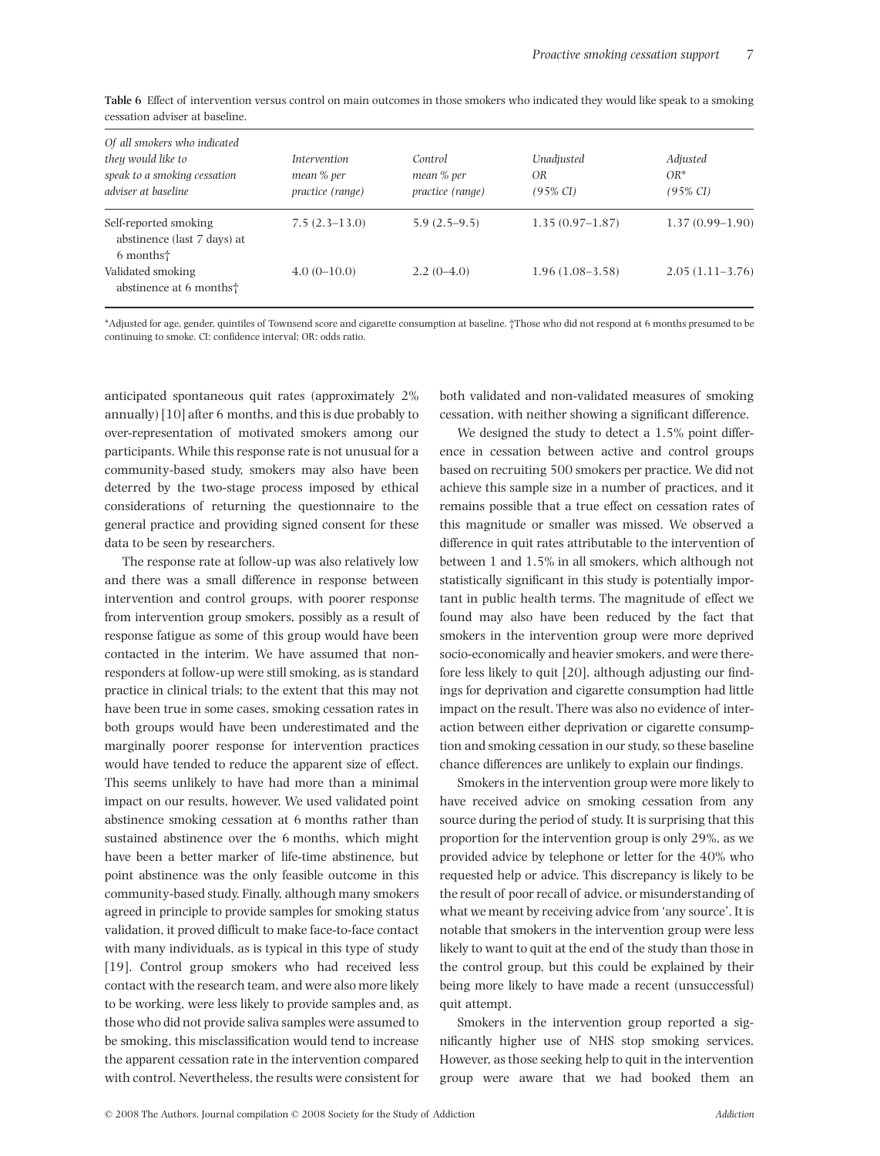| <b>Table 6</b> Effect of intervention versus control on main outcomes in those smokers who indicated they would like speak to a smoking |  |  |  |  |  |
|-----------------------------------------------------------------------------------------------------------------------------------------|--|--|--|--|--|
| cessation adviser at baseline.                                                                                                          |  |  |  |  |  |

| Of all smokers who indicated<br>they would like to<br>speak to a smoking cessation<br>adviser at baseline | <i><u><b>Intervention</b></u></i><br>mean % per<br>practice (range) | Control<br>mean % per<br><i>practice</i> ( <i>range</i> ) | Unadjusted<br>OR<br>$(95\% \text{ CI})$ | Adjusted<br>$OR^*$<br>$(95\% \text{ CI})$ |
|-----------------------------------------------------------------------------------------------------------|---------------------------------------------------------------------|-----------------------------------------------------------|-----------------------------------------|-------------------------------------------|
| Self-reported smoking<br>abstinence (last 7 days) at<br>6 months <sup>+</sup>                             | $7.5(2.3-13.0)$                                                     | $5.9(2.5-9.5)$                                            | $1.35(0.97-1.87)$                       | $1.37(0.99 - 1.90)$                       |
| Validated smoking<br>abstinence at 6 months <sup>+</sup>                                                  | $4.0(0-10.0)$                                                       | $2.2(0-4.0)$                                              | $1.96(1.08-3.58)$                       | $2.05(1.11-3.76)$                         |

\*Adjusted for age, gender, quintiles of Townsend score and cigarette consumption at baseline. †Those who did not respond at 6 months presumed to be continuing to smoke. CI: confidence interval; OR: odds ratio.

anticipated spontaneous quit rates (approximately 2% annually) [10] after 6 months, and this is due probably to over-representation of motivated smokers among our participants. While this response rate is not unusual for a community-based study, smokers may also have been deterred by the two-stage process imposed by ethical considerations of returning the questionnaire to the general practice and providing signed consent for these data to be seen by researchers.

The response rate at follow-up was also relatively low and there was a small difference in response between intervention and control groups, with poorer response from intervention group smokers, possibly as a result of response fatigue as some of this group would have been contacted in the interim. We have assumed that nonresponders at follow-up were still smoking, as is standard practice in clinical trials; to the extent that this may not have been true in some cases, smoking cessation rates in both groups would have been underestimated and the marginally poorer response for intervention practices would have tended to reduce the apparent size of effect. This seems unlikely to have had more than a minimal impact on our results, however. We used validated point abstinence smoking cessation at 6 months rather than sustained abstinence over the 6 months, which might have been a better marker of life-time abstinence, but point abstinence was the only feasible outcome in this community-based study. Finally, although many smokers agreed in principle to provide samples for smoking status validation, it proved difficult to make face-to-face contact with many individuals, as is typical in this type of study [19]. Control group smokers who had received less contact with the research team, and were also more likely to be working, were less likely to provide samples and, as those who did not provide saliva samples were assumed to be smoking, this misclassification would tend to increase the apparent cessation rate in the intervention compared with control. Nevertheless, the results were consistent for

both validated and non-validated measures of smoking cessation, with neither showing a significant difference.

We designed the study to detect a 1.5% point difference in cessation between active and control groups based on recruiting 500 smokers per practice. We did not achieve this sample size in a number of practices, and it remains possible that a true effect on cessation rates of this magnitude or smaller was missed. We observed a difference in quit rates attributable to the intervention of between 1 and 1.5% in all smokers, which although not statistically significant in this study is potentially important in public health terms. The magnitude of effect we found may also have been reduced by the fact that smokers in the intervention group were more deprived socio-economically and heavier smokers, and were therefore less likely to quit [20], although adjusting our findings for deprivation and cigarette consumption had little impact on the result. There was also no evidence of interaction between either deprivation or cigarette consumption and smoking cessation in our study, so these baseline chance differences are unlikely to explain our findings.

Smokers in the intervention group were more likely to have received advice on smoking cessation from any source during the period of study. It is surprising that this proportion for the intervention group is only 29%, as we provided advice by telephone or letter for the 40% who requested help or advice. This discrepancy is likely to be the result of poor recall of advice, or misunderstanding of what we meant by receiving advice from 'any source'. It is notable that smokers in the intervention group were less likely to want to quit at the end of the study than those in the control group, but this could be explained by their being more likely to have made a recent (unsuccessful) quit attempt.

Smokers in the intervention group reported a significantly higher use of NHS stop smoking services. However, as those seeking help to quit in the intervention group were aware that we had booked them an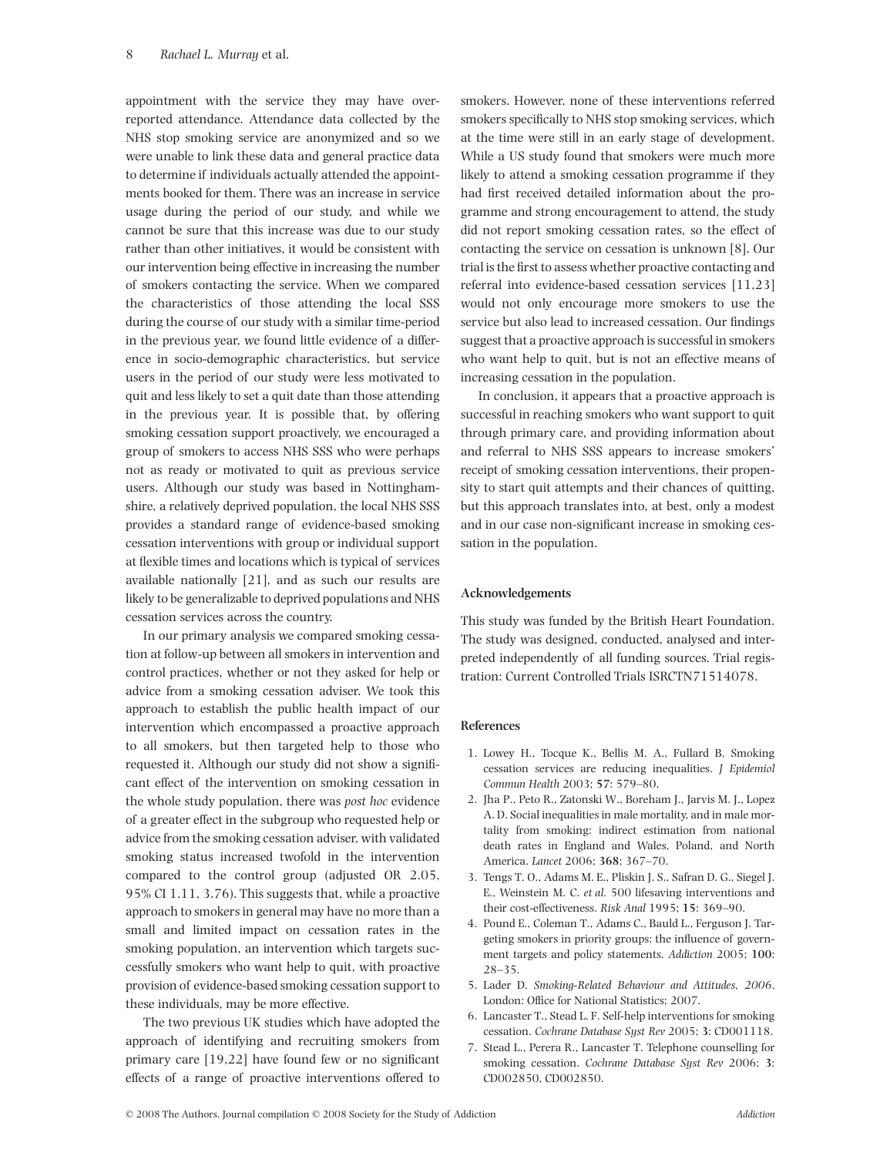appointment with the service they may have overreported attendance. Attendance data collected by the NHS stop smoking service are anonymized and so we were unable to link these data and general practice data to determine if individuals actually attended the appointments booked for them. There was an increase in service usage during the period of our study, and while we cannot be sure that this increase was due to our study rather than other initiatives, it would be consistent with our intervention being effective in increasing the number of smokers contacting the service. When we compared the characteristics of those attending the local SSS during the course of our study with a similar time-period in the previous year, we found little evidence of a difference in socio-demographic characteristics, but service users in the period of our study were less motivated to quit and less likely to set a quit date than those attending in the previous year. It is possible that, by offering smoking cessation support proactively, we encouraged a group of smokers to access NHS SSS who were perhaps not as ready or motivated to quit as previous service users. Although our study was based in Nottinghamshire, a relatively deprived population, the local NHS SSS provides a standard range of evidence-based smoking cessation interventions with group or individual support at flexible times and locations which is typical of services available nationally [21], and as such our results are likely to be generalizable to deprived populations and NHS cessation services across the country.

In our primary analysis we compared smoking cessation at follow-up between all smokers in intervention and control practices, whether or not they asked for help or advice from a smoking cessation adviser. We took this approach to establish the public health impact of our intervention which encompassed a proactive approach to all smokers, but then targeted help to those who requested it. Although our study did not show a significant effect of the intervention on smoking cessation in the whole study population, there was *post hoc* evidence of a greater effect in the subgroup who requested help or advice from the smoking cessation adviser, with validated smoking status increased twofold in the intervention compared to the control group (adjusted OR 2.05, 95% CI 1.11, 3.76). This suggests that, while a proactive approach to smokers in general may have no more than a small and limited impact on cessation rates in the smoking population, an intervention which targets successfully smokers who want help to quit, with proactive provision of evidence-based smoking cessation support to these individuals, may be more effective.

The two previous UK studies which have adopted the approach of identifying and recruiting smokers from primary care [19,22] have found few or no significant effects of a range of proactive interventions offered to smokers. However, none of these interventions referred smokers specifically to NHS stop smoking services, which at the time were still in an early stage of development. While a US study found that smokers were much more likely to attend a smoking cessation programme if they had first received detailed information about the programme and strong encouragement to attend, the study did not report smoking cessation rates, so the effect of contacting the service on cessation is unknown [8]. Our trial is the first to assess whether proactive contacting and referral into evidence-based cessation services [11,23] would not only encourage more smokers to use the service but also lead to increased cessation. Our findings suggest that a proactive approach is successful in smokers who want help to quit, but is not an effective means of increasing cessation in the population.

In conclusion, it appears that a proactive approach is successful in reaching smokers who want support to quit through primary care, and providing information about and referral to NHS SSS appears to increase smokers' receipt of smoking cessation interventions, their propensity to start quit attempts and their chances of quitting, but this approach translates into, at best, only a modest and in our case non-significant increase in smoking cessation in the population.

#### **Acknowledgements**

This study was funded by the British Heart Foundation. The study was designed, conducted, analysed and interpreted independently of all funding sources. Trial registration: Current Controlled Trials ISRCTN71514078.

#### **References**

- 1. Lowey H., Tocque K., Bellis M. A., Fullard B. Smoking cessation services are reducing inequalities. *J Epidemiol Commun Health* 2003; **57**: 579–80.
- 2. Jha P., Peto R., Zatonski W., Boreham J., Jarvis M. J., Lopez A. D. Social inequalities in male mortality, and in male mortality from smoking: indirect estimation from national death rates in England and Wales, Poland, and North America. *Lancet* 2006; **368**: 367–70.
- 3. Tengs T. O., Adams M. E., Pliskin J. S., Safran D. G., Siegel J. E., Weinstein M. C. *et al.* 500 lifesaving interventions and their cost-effectiveness. *Risk Anal* 1995; **15**: 369–90.
- 4. Pound E., Coleman T., Adams C., Bauld L., Ferguson J. Targeting smokers in priority groups: the influence of government targets and policy statements. *Addiction* 2005; **100**: 28–35.
- 5. Lader D. *Smoking-Related Behaviour and Attitudes, 2006*. London: Office for National Statistics; 2007.
- 6. Lancaster T., Stead L. F. Self-help interventions for smoking cessation. *Cochrane Database Syst Rev* 2005; **3**: CD001118.
- 7. Stead L., Perera R., Lancaster T. Telephone counselling for smoking cessation. *Cochrane Database Syst Rev* 2006; **3**: CD002850, CD002850.